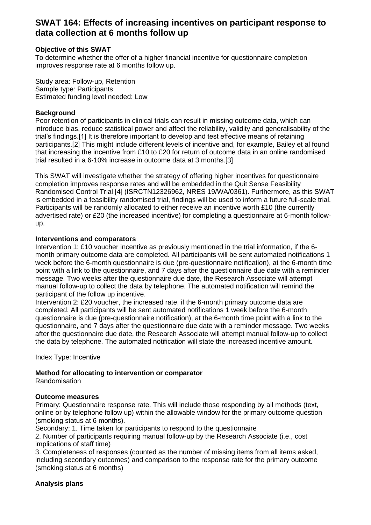# **SWAT 164: Effects of increasing incentives on participant response to data collection at 6 months follow up**

## **Objective of this SWAT**

To determine whether the offer of a higher financial incentive for questionnaire completion improves response rate at 6 months follow up.

Study area: Follow-up, Retention Sample type: Participants Estimated funding level needed: Low

### **Background**

Poor retention of participants in clinical trials can result in missing outcome data, which can introduce bias, reduce statistical power and affect the reliability, validity and generalisability of the trial's findings.[1] It is therefore important to develop and test effective means of retaining participants.[2] This might include different levels of incentive and, for example, Bailey et al found that increasing the incentive from £10 to £20 for return of outcome data in an online randomised trial resulted in a 6-10% increase in outcome data at 3 months.[3]

This SWAT will investigate whether the strategy of offering higher incentives for questionnaire completion improves response rates and will be embedded in the Quit Sense Feasibility Randomised Control Trial [4] (ISRCTN12326962, NRES 19/WA/0361). Furthermore, as this SWAT is embedded in a feasibility randomised trial, findings will be used to inform a future full-scale trial. Participants will be randomly allocated to either receive an incentive worth £10 (the currently advertised rate) or £20 (the increased incentive) for completing a questionnaire at 6-month followup.

## **Interventions and comparators**

Intervention 1: £10 voucher incentive as previously mentioned in the trial information, if the 6 month primary outcome data are completed. All participants will be sent automated notifications 1 week before the 6-month questionnaire is due (pre-questionnaire notification), at the 6-month time point with a link to the questionnaire, and 7 days after the questionnaire due date with a reminder message. Two weeks after the questionnaire due date, the Research Associate will attempt manual follow-up to collect the data by telephone. The automated notification will remind the participant of the follow up incentive.

Intervention 2: £20 voucher, the increased rate, if the 6-month primary outcome data are completed. All participants will be sent automated notifications 1 week before the 6-month questionnaire is due (pre-questionnaire notification), at the 6-month time point with a link to the questionnaire, and 7 days after the questionnaire due date with a reminder message. Two weeks after the questionnaire due date, the Research Associate will attempt manual follow-up to collect the data by telephone. The automated notification will state the increased incentive amount.

Index Type: Incentive

**Method for allocating to intervention or comparator** Randomisation

### **Outcome measures**

Primary: Questionnaire response rate. This will include those responding by all methods (text, online or by telephone follow up) within the allowable window for the primary outcome question (smoking status at 6 months).

Secondary: 1. Time taken for participants to respond to the questionnaire

2. Number of participants requiring manual follow-up by the Research Associate (i.e., cost implications of staff time)

3. Completeness of responses (counted as the number of missing items from all items asked, including secondary outcomes) and comparison to the response rate for the primary outcome (smoking status at 6 months)

# **Analysis plans**